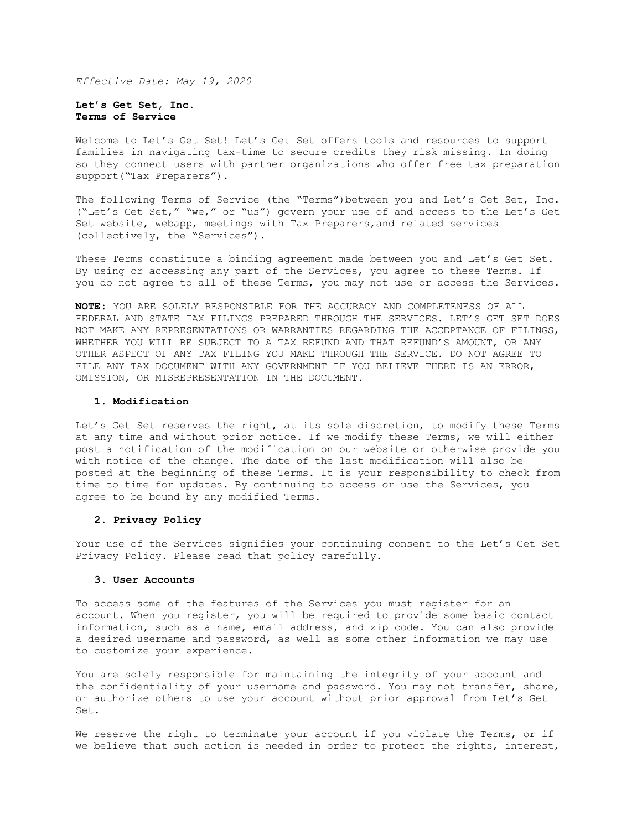*Effective Date: May 19, 2020*

**Let's Get Set, Inc. Terms of Service**

Welcome to Let's Get Set! Let's Get Set offers tools and resources to support families in navigating tax-time to secure credits they risk missing. In doing so they connect users with partner organizations who offer free tax preparation support("Tax Preparers").

The following Terms of Service (the "Terms")between you and Let's Get Set, Inc. ("Let's Get Set," "we," or "us") govern your use of and access to the Let's Get Set website, webapp, meetings with Tax Preparers,and related services (collectively, the "Services").

These Terms constitute a binding agreement made between you and Let's Get Set. By using or accessing any part of the Services, you agree to these Terms. If you do not agree to all of these Terms, you may not use or access the Services.

**NOTE:** YOU ARE SOLELY RESPONSIBLE FOR THE ACCURACY AND COMPLETENESS OF ALL FEDERAL AND STATE TAX FILINGS PREPARED THROUGH THE SERVICES. LET'S GET SET DOES NOT MAKE ANY REPRESENTATIONS OR WARRANTIES REGARDING THE ACCEPTANCE OF FILINGS, WHETHER YOU WILL BE SUBJECT TO A TAX REFUND AND THAT REFUND'S AMOUNT, OR ANY OTHER ASPECT OF ANY TAX FILING YOU MAKE THROUGH THE SERVICE. DO NOT AGREE TO FILE ANY TAX DOCUMENT WITH ANY GOVERNMENT IF YOU BELIEVE THERE IS AN ERROR, OMISSION, OR MISREPRESENTATION IN THE DOCUMENT.

## **1. Modification**

Let's Get Set reserves the right, at its sole discretion, to modify these Terms at any time and without prior notice. If we modify these Terms, we will either post a notification of the modification on our website or otherwise provide you with notice of the change. The date of the last modification will also be posted at the beginning of these Terms. It is your responsibility to check from time to time for updates. By continuing to access or use the Services, you agree to be bound by any modified Terms.

# **2. Privacy Policy**

Your use of the Services signifies your continuing consent to the Let's Get Set Privacy Policy. Please read that policy carefully.

# **3. User Accounts**

To access some of the features of the Services you must register for an account. When you register, you will be required to provide some basic contact information, such as a name, email address, and zip code. You can also provide a desired username and password, as well as some other information we may use to customize your experience.

You are solely responsible for maintaining the integrity of your account and the confidentiality of your username and password. You may not transfer, share, or authorize others to use your account without prior approval from Let's Get Set.

We reserve the right to terminate your account if you violate the Terms, or if we believe that such action is needed in order to protect the rights, interest,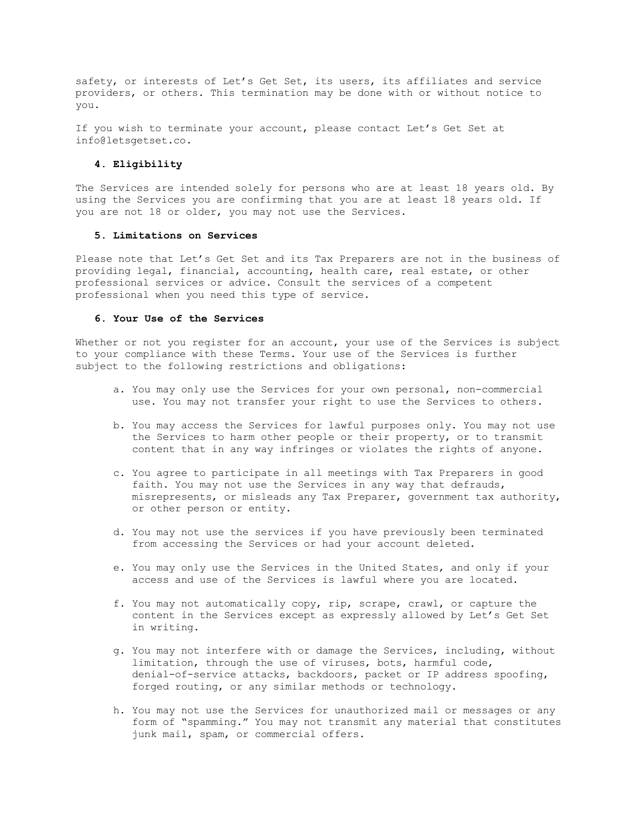safety, or interests of Let's Get Set, its users, its affiliates and service providers, or others. This termination may be done with or without notice to you.

If you wish to terminate your account, please contact Let's Get Set at info@letsgetset.co.

# **4. Eligibility**

The Services are intended solely for persons who are at least 18 years old. By using the Services you are confirming that you are at least 18 years old. If you are not 18 or older, you may not use the Services.

## **5. Limitations on Services**

Please note that Let's Get Set and its Tax Preparers are not in the business of providing legal, financial, accounting, health care, real estate, or other professional services or advice. Consult the services of a competent professional when you need this type of service.

## **6. Your Use of the Services**

Whether or not you register for an account, your use of the Services is subject to your compliance with these Terms. Your use of the Services is further subject to the following restrictions and obligations:

- a. You may only use the Services for your own personal, non-commercial use. You may not transfer your right to use the Services to others.
- b. You may access the Services for lawful purposes only. You may not use the Services to harm other people or their property, or to transmit content that in any way infringes or violates the rights of anyone.
- c. You agree to participate in all meetings with Tax Preparers in good faith. You may not use the Services in any way that defrauds, misrepresents, or misleads any Tax Preparer, government tax authority, or other person or entity.
- d. You may not use the services if you have previously been terminated from accessing the Services or had your account deleted.
- e. You may only use the Services in the United States, and only if your access and use of the Services is lawful where you are located.
- f. You may not automatically copy, rip, scrape, crawl, or capture the content in the Services except as expressly allowed by Let's Get Set in writing.
- g. You may not interfere with or damage the Services, including, without limitation, through the use of viruses, bots, harmful code, denial-of-service attacks, backdoors, packet or IP address spoofing, forged routing, or any similar methods or technology.
- h. You may not use the Services for unauthorized mail or messages or any form of "spamming." You may not transmit any material that constitutes junk mail, spam, or commercial offers.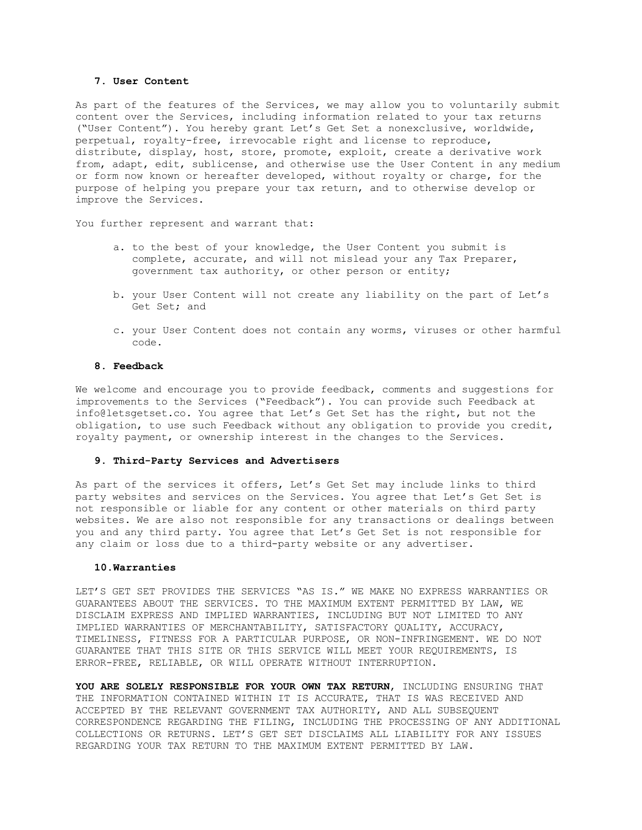### **7. User Content**

As part of the features of the Services, we may allow you to voluntarily submit content over the Services, including information related to your tax returns ("User Content"). You hereby grant Let's Get Set a nonexclusive, worldwide, perpetual, royalty-free, irrevocable right and license to reproduce, distribute, display, host, store, promote, exploit, create a derivative work from, adapt, edit, sublicense, and otherwise use the User Content in any medium or form now known or hereafter developed, without royalty or charge, for the purpose of helping you prepare your tax return, and to otherwise develop or improve the Services.

You further represent and warrant that:

- a. to the best of your knowledge, the User Content you submit is complete, accurate, and will not mislead your any Tax Preparer, government tax authority, or other person or entity;
- b. your User Content will not create any liability on the part of Let's Get Set; and
- c. your User Content does not contain any worms, viruses or other harmful code.

### **8. Feedback**

We welcome and encourage you to provide feedback, comments and suggestions for improvements to the Services ("Feedback"). You can provide such Feedback at info@letsgetset.co. You agree that Let's Get Set has the right, but not the obligation, to use such Feedback without any obligation to provide you credit, royalty payment, or ownership interest in the changes to the Services.

### **9. Third-Party Services and Advertisers**

As part of the services it offers, Let's Get Set may include links to third party websites and services on the Services. You agree that Let's Get Set is not responsible or liable for any content or other materials on third party websites. We are also not responsible for any transactions or dealings between you and any third party. You agree that Let's Get Set is not responsible for any claim or loss due to a third-party website or any advertiser.

#### **10.Warranties**

LET'S GET SET PROVIDES THE SERVICES "AS IS." WE MAKE NO EXPRESS WARRANTIES OR GUARANTEES ABOUT THE SERVICES. TO THE MAXIMUM EXTENT PERMITTED BY LAW, WE DISCLAIM EXPRESS AND IMPLIED WARRANTIES, INCLUDING BUT NOT LIMITED TO ANY IMPLIED WARRANTIES OF MERCHANTABILITY, SATISFACTORY QUALITY, ACCURACY, TIMELINESS, FITNESS FOR A PARTICULAR PURPOSE, OR NON-INFRINGEMENT. WE DO NOT GUARANTEE THAT THIS SITE OR THIS SERVICE WILL MEET YOUR REQUIREMENTS, IS ERROR-FREE, RELIABLE, OR WILL OPERATE WITHOUT INTERRUPTION.

**YOU ARE SOLELY RESPONSIBLE FOR YOUR OWN TAX RETURN**, INCLUDING ENSURING THAT THE INFORMATION CONTAINED WITHIN IT IS ACCURATE, THAT IS WAS RECEIVED AND ACCEPTED BY THE RELEVANT GOVERNMENT TAX AUTHORITY, AND ALL SUBSEQUENT CORRESPONDENCE REGARDING THE FILING, INCLUDING THE PROCESSING OF ANY ADDITIONAL COLLECTIONS OR RETURNS. LET'S GET SET DISCLAIMS ALL LIABILITY FOR ANY ISSUES REGARDING YOUR TAX RETURN TO THE MAXIMUM EXTENT PERMITTED BY LAW.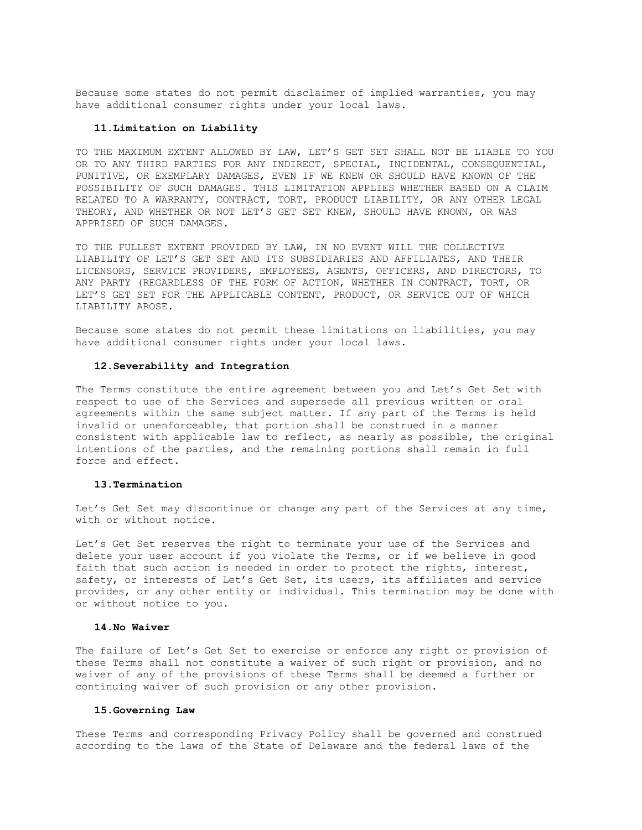Because some states do not permit disclaimer of implied warranties, you may have additional consumer rights under your local laws.

#### **11.Limitation on Liability**

TO THE MAXIMUM EXTENT ALLOWED BY LAW, LET'S GET SET SHALL NOT BE LIABLE TO YOU OR TO ANY THIRD PARTIES FOR ANY INDIRECT, SPECIAL, INCIDENTAL, CONSEQUENTIAL, PUNITIVE, OR EXEMPLARY DAMAGES, EVEN IF WE KNEW OR SHOULD HAVE KNOWN OF THE POSSIBILITY OF SUCH DAMAGES. THIS LIMITATION APPLIES WHETHER BASED ON A CLAIM RELATED TO A WARRANTY, CONTRACT, TORT, PRODUCT LIABILITY, OR ANY OTHER LEGAL THEORY, AND WHETHER OR NOT LET'S GET SET KNEW, SHOULD HAVE KNOWN, OR WAS APPRISED OF SUCH DAMAGES.

TO THE FULLEST EXTENT PROVIDED BY LAW, IN NO EVENT WILL THE COLLECTIVE LIABILITY OF LET'S GET SET AND ITS SUBSIDIARIES AND AFFILIATES, AND THEIR LICENSORS, SERVICE PROVIDERS, EMPLOYEES, AGENTS, OFFICERS, AND DIRECTORS, TO ANY PARTY (REGARDLESS OF THE FORM OF ACTION, WHETHER IN CONTRACT, TORT, OR LET'S GET SET FOR THE APPLICABLE CONTENT, PRODUCT, OR SERVICE OUT OF WHICH LIABILITY AROSE.

Because some states do not permit these limitations on liabilities, you may have additional consumer rights under your local laws.

### **12.Severability and Integration**

The Terms constitute the entire agreement between you and Let's Get Set with respect to use of the Services and supersede all previous written or oral agreements within the same subject matter. If any part of the Terms is held invalid or unenforceable, that portion shall be construed in a manner consistent with applicable law to reflect, as nearly as possible, the original intentions of the parties, and the remaining portions shall remain in full force and effect.

### **13.Termination**

Let's Get Set may discontinue or change any part of the Services at any time, with or without notice.

Let's Get Set reserves the right to terminate your use of the Services and delete your user account if you violate the Terms, or if we believe in good faith that such action is needed in order to protect the rights, interest, safety, or interests of Let's Get Set, its users, its affiliates and service provides, or any other entity or individual. This termination may be done with or without notice to you.

### **14.No Waiver**

The failure of Let's Get Set to exercise or enforce any right or provision of these Terms shall not constitute a waiver of such right or provision, and no waiver of any of the provisions of these Terms shall be deemed a further or continuing waiver of such provision or any other provision.

#### **15.Governing Law**

These Terms and corresponding Privacy Policy shall be governed and construed according to the laws of the State of Delaware and the federal laws of the